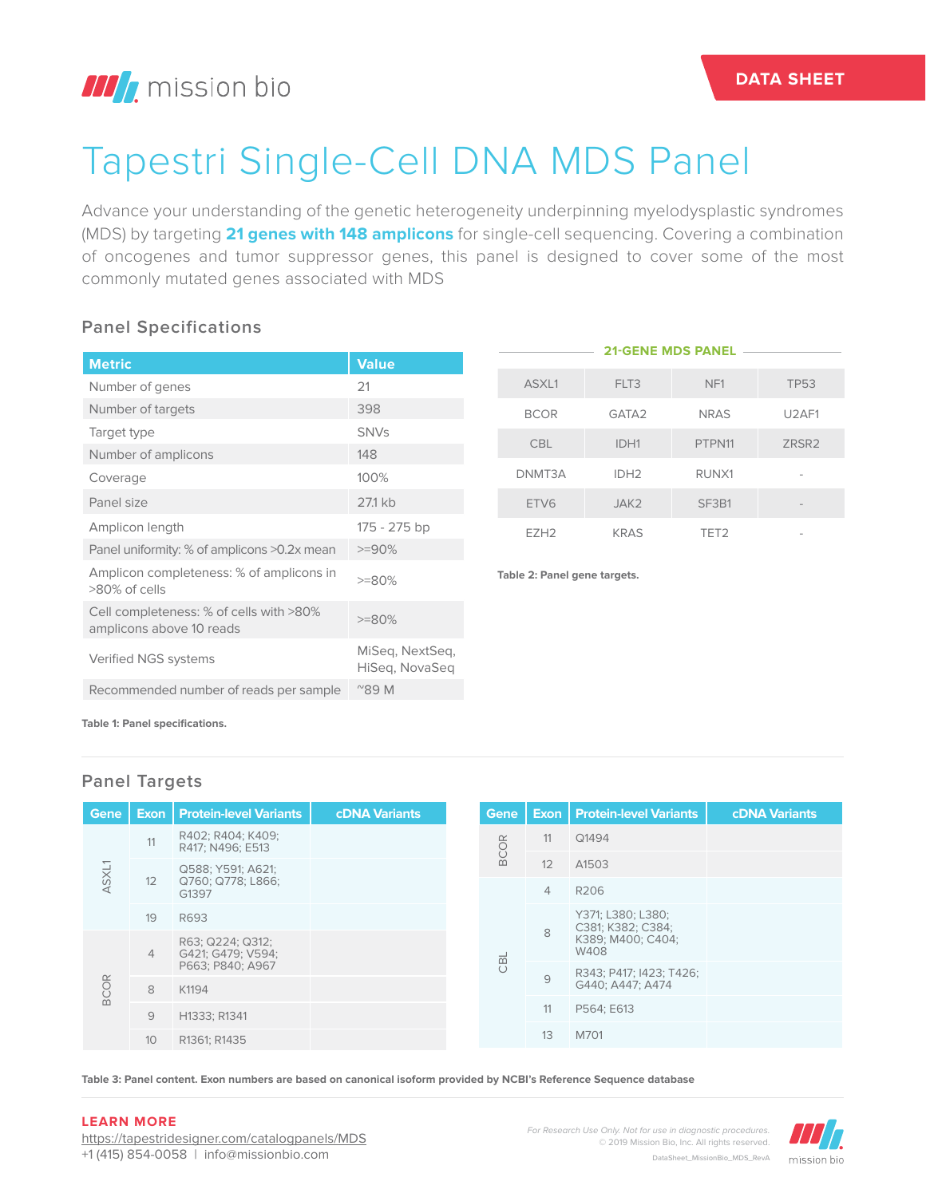# Tapestri Single-Cell DNA MDS Panel

Advance your understanding of the genetic heterogeneity underpinning myelodysplastic syndromes (MDS) by targeting **21 genes with 148 amplicons** for single-cell sequencing. Covering a combination of oncogenes and tumor suppressor genes, this panel is designed to cover some of the most commonly mutated genes associated with MDS

## **Panel Specifications**

| <b>Metric</b>                                                       | <b>Value</b>                      |                              | ZIUEN             |
|---------------------------------------------------------------------|-----------------------------------|------------------------------|-------------------|
| Number of genes                                                     | 21                                | ASXL1                        | FLT3              |
| Number of targets                                                   | 398                               | <b>BCOR</b>                  | GATA <sub>2</sub> |
| Target type                                                         | <b>SNVs</b>                       | <b>CBL</b>                   | IDH1              |
| Number of amplicons                                                 | 148                               |                              |                   |
| Coverage                                                            | 100%                              | DNMT3A                       | IDH <sub>2</sub>  |
| Panel size                                                          | 27.1 kb                           | ETV <sub>6</sub>             | JAK2              |
| Amplicon length                                                     | 175 - 275 bp                      | EZH <sub>2</sub>             | <b>KRAS</b>       |
| Panel uniformity: % of amplicons >0.2x mean                         | $>=90%$                           |                              |                   |
| Amplicon completeness: % of amplicons in<br>>80% of cells           | $>=80%$                           | Table 2: Panel gene targets. |                   |
| Cell completeness: % of cells with >80%<br>amplicons above 10 reads | $>=80%$                           |                              |                   |
| Verified NGS systems                                                | MiSeg, NextSeg,<br>HiSeg, NovaSeg |                              |                   |
| Recommended number of reads per sample                              | $^{\prime\prime}89$ M             |                              |                   |
|                                                                     |                                   |                              |                   |

| <b>21-GENE MDS PANEL</b> |                   |                  |                                |  |  |  |  |  |
|--------------------------|-------------------|------------------|--------------------------------|--|--|--|--|--|
| ASXL1                    | FLT3              | NF <sub>1</sub>  | <b>TP53</b>                    |  |  |  |  |  |
| <b>BCOR</b>              | GATA <sub>2</sub> | <b>NRAS</b>      | U <sub>2</sub> AF <sub>1</sub> |  |  |  |  |  |
| <b>CBL</b>               | IDH1              | PTPN11           | ZRSR <sub>2</sub>              |  |  |  |  |  |
| DNMT3A                   | IDH <sub>2</sub>  | RUNX1            |                                |  |  |  |  |  |
| ETV6                     | JAK <sub>2</sub>  | SF3B1            |                                |  |  |  |  |  |
| F7H <sub>2</sub>         | <b>KRAS</b>       | TET <sub>2</sub> |                                |  |  |  |  |  |

**Table 1: Panel specifications.**

# **Panel Targets**

| Gene                 |                 | <b>Exon   Protein-level Variants</b>  | <b>cDNA Variants</b> |            | <b>Gene</b> |                | <b>Exon   Protein-level Variants</b>                                | <b>cDNA Variants</b> |
|----------------------|-----------------|---------------------------------------|----------------------|------------|-------------|----------------|---------------------------------------------------------------------|----------------------|
| ASXL1<br><b>BCOR</b> | 11              | R402; R404; K409;<br>R417; N496; E513 |                      |            | <b>BCOR</b> | 11             | Q1494                                                               |                      |
|                      |                 | Q588; Y591; A621;                     |                      |            |             | 12             | A1503                                                               |                      |
|                      | 12              | Q760; Q778; L866;<br>G1397            |                      |            |             | $\overline{4}$ | R206                                                                |                      |
|                      | 19              | R693                                  |                      | <b>OBL</b> |             | 8              | Y371; L380; L380;<br>C381; K382; C384;<br>K389; M400; C404;<br>W408 |                      |
|                      | $\overline{4}$  | R63; Q224; Q312;<br>G421; G479; V594; |                      |            |             |                |                                                                     |                      |
|                      |                 | P663; P840; A967                      |                      |            |             | 9              | R343; P417; I423; T426;                                             |                      |
|                      | 8               | K1194                                 |                      |            |             |                | G440; A447; A474                                                    |                      |
|                      | 9               | H1333; R1341                          |                      |            |             | 11             | P564; E613                                                          |                      |
|                      | 10 <sup>°</sup> | R1361; R1435                          |                      |            |             | 13             | M701                                                                |                      |

**Table 3: Panel content. Exon numbers are based on canonical isoform provided by NCBI's Reference Sequence database**

#### **LEARN MORE**

https://tapestridesigner.com/catalogpanels/MDS +1 (415) 854-0058 | info@missionbio.com

*For Research Use Only. Not for use in diagnostic procedures.* © 2019 Mission Bio, Inc. All rights reserved. DataSheet\_MissionBio\_MDS\_RevA

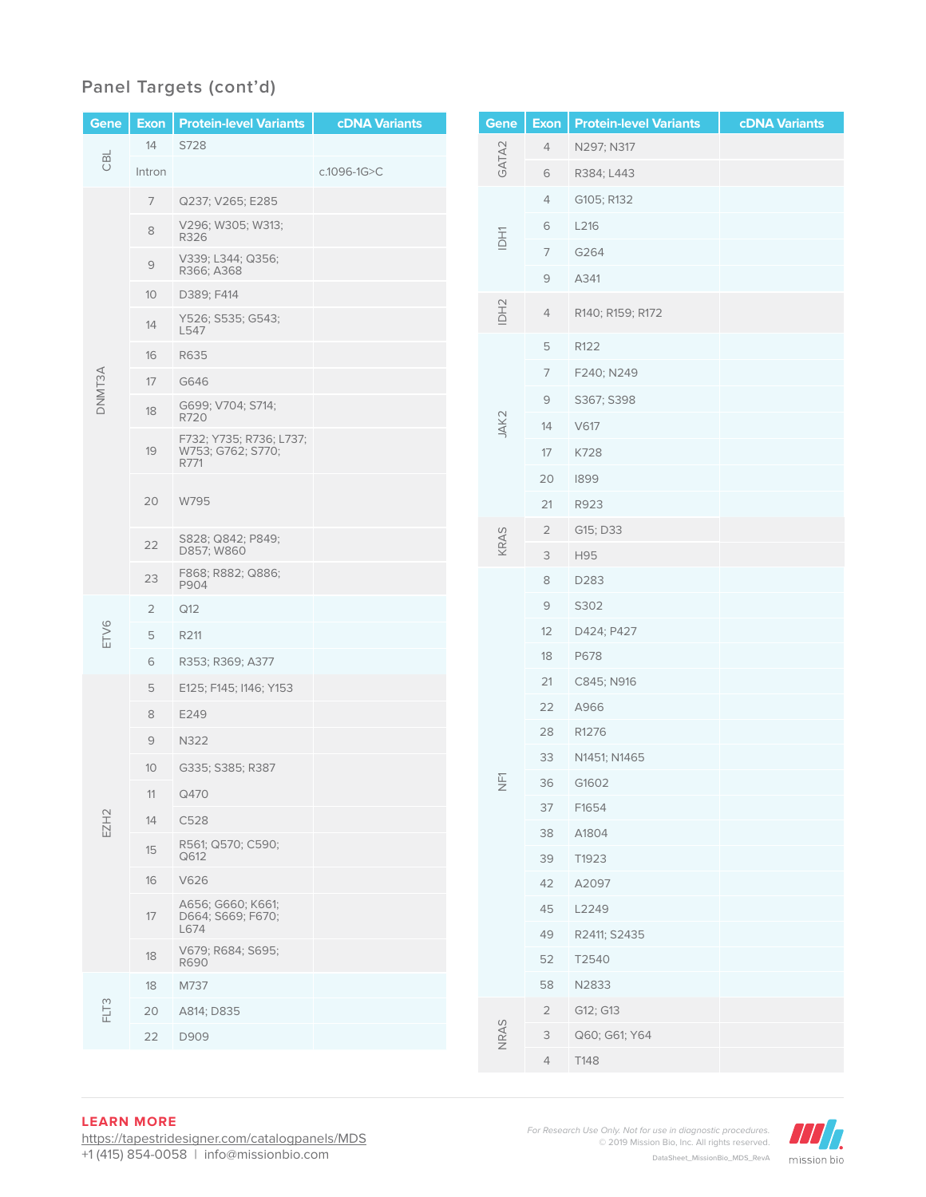# **Panel Targets (cont'd)**

| <b>Gene</b>      | <b>Exon</b>     | <b>Protein-level Variants</b>                        | <b>cDNA Variants</b> |                         | Gene  | <b>Exon</b>    | <b>Protein-level Variants</b> | <b>cDNA Variants</b> |
|------------------|-----------------|------------------------------------------------------|----------------------|-------------------------|-------|----------------|-------------------------------|----------------------|
| CBL              | 14              | S728                                                 |                      |                         |       | 4              | N297; N317                    |                      |
|                  | Intron          |                                                      | c.1096-1G>C          |                         | GATA2 | 6              | R384; L443                    |                      |
|                  | $\overline{7}$  | Q237; V265; E285                                     |                      |                         | IDH1  | 4              | G105; R132                    |                      |
|                  | $\,8\,$         | V296; W305; W313;<br>R326                            |                      |                         |       | 6              | L216                          |                      |
|                  | $\mathcal{G}$   | V339; L344; Q356;                                    |                      |                         |       | 7              | G264                          |                      |
|                  | 10              | R366; A368<br>D389; F414                             |                      |                         |       | 9              | A341                          |                      |
|                  | 14              | Y526; S535; G543;<br>L547                            |                      |                         | IDH2  | 4              | R140; R159; R172              |                      |
|                  | 16              | R635                                                 |                      |                         |       | 5              | R <sub>122</sub>              |                      |
|                  | 17              | G646                                                 |                      |                         |       | 7              | F240; N249                    |                      |
| DNMT3A           | 18              | G699; V704; S714;                                    |                      |                         |       | $\mathcal{G}$  | S367; S398                    |                      |
|                  |                 | R720                                                 |                      |                         | JAK2  | 14             | V617                          |                      |
|                  | 19              | F732; Y735; R736; L737;<br>W753; G762; S770;<br>R771 |                      |                         |       | 17             | K728                          |                      |
|                  |                 |                                                      |                      |                         |       | 20             | 1899                          |                      |
|                  | 20              | W795                                                 |                      |                         |       | 21             | R923                          |                      |
|                  | 22              | S828; Q842; P849;                                    |                      |                         | KRAS  | $\overline{2}$ | G15; D33                      |                      |
|                  |                 | D857; W860                                           |                      |                         |       | $\mathsf S$    | H95                           |                      |
|                  | 23              | F868; R882; Q886;<br>P904                            |                      |                         |       | 8              | D283                          |                      |
|                  | $\overline{2}$  | Q12                                                  |                      |                         |       | $\mathcal{G}$  | S302                          |                      |
| ETV6             | 5               | R211                                                 |                      |                         |       | 12             | D424; P427                    |                      |
|                  | 6               | R353; R369; A377                                     |                      |                         |       | 18             | P678                          |                      |
|                  | 5               | E125; F145; I146; Y153                               |                      |                         |       | 21             | C845; N916                    |                      |
|                  | 8               | E249                                                 |                      |                         |       | 22             | A966                          |                      |
|                  | 9               | N322                                                 |                      |                         |       | 28             | R1276                         |                      |
|                  | 10 <sup>°</sup> | G335; S385; R387                                     |                      | $\overline{\mathbb{H}}$ | 33    | N1451; N1465   |                               |                      |
|                  | 11              | Q470                                                 |                      |                         | 36    | G1602          |                               |                      |
| EZH <sub>2</sub> | 14              | C528                                                 |                      |                         |       | 37             | F1654                         |                      |
|                  | 15              | R561; Q570; C590;<br>Q612                            |                      |                         |       | 38<br>39       | A1804<br>T1923                |                      |
|                  | 16              | V626                                                 |                      |                         |       | 42             | A2097                         |                      |
|                  |                 | A656; G660; K661;                                    |                      |                         |       | 45             | L2249                         |                      |
|                  | 17              | D664; S669; F670;<br>L674                            |                      |                         |       | 49             | R2411; S2435                  |                      |
|                  | 18              | V679; R684; S695;<br>R690                            |                      |                         |       | 52             | T2540                         |                      |
| FLT3             | 18              | M737                                                 |                      |                         |       | 58             | N2833                         |                      |
|                  | 20              | A814; D835                                           |                      |                         |       | $\overline{2}$ | G12; G13                      |                      |
|                  | 22              | D909                                                 |                      |                         | NRAS  | 3              | Q60; G61; Y64                 |                      |
|                  |                 |                                                      |                      |                         |       | $\overline{4}$ | T148                          |                      |

### **LEARN MORE**

https://tapestridesigner.com/catalogpanels/MDS +1 (415) 854-0058 | info@missionbio.com